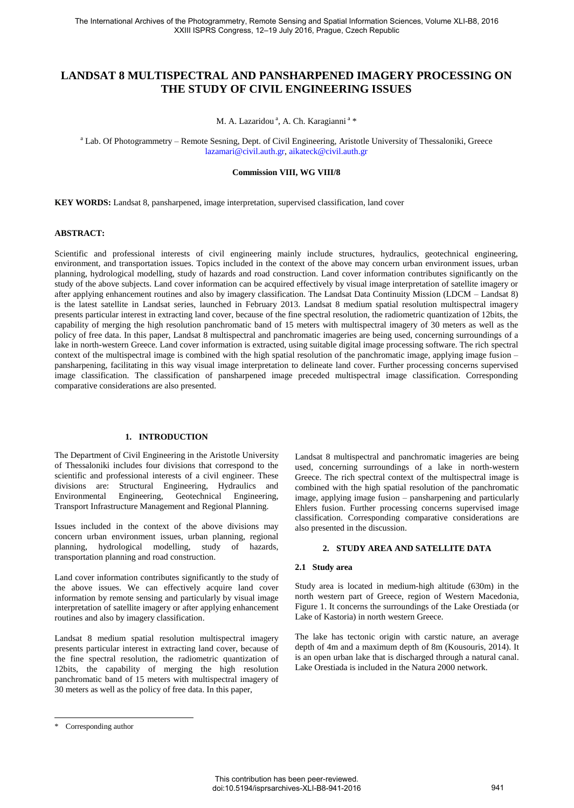# **LANDSAT 8 MULTISPECTRAL AND PANSHARPENED IMAGERY PROCESSING ON THE STUDY OF CIVIL ENGINEERING ISSUES**

M. A. Lazaridou<sup>a</sup>, A. Ch. Karagianni<sup>a</sup>\*

<sup>a</sup> Lab. Of Photogrammetry - Remote Sesning, Dept. of Civil Engineering, Aristotle University of Thessaloniki, Greece [lazamari@civil.auth.gr,](mailto:lazamari@civil.auth.gr) aikateck@civil.auth.gr

#### **Commission VIII, WG VIII/8**

**KEY WORDS:** Landsat 8, pansharpened, image interpretation, supervised classification, land cover

#### **ABSTRACT:**

Scientific and professional interests of civil engineering mainly include structures, hydraulics, geotechnical engineering, environment, and transportation issues. Topics included in the context of the above may concern urban environment issues, urban planning, hydrological modelling, study of hazards and road construction. Land cover information contributes significantly on the study of the above subjects. Land cover information can be acquired effectively by visual image interpretation of satellite imagery or after applying enhancement routines and also by imagery classification. The Landsat Data Continuity Mission (LDCM – Landsat 8) is the latest satellite in Landsat series, launched in February 2013. Landsat 8 medium spatial resolution multispectral imagery presents particular interest in extracting land cover, because of the fine spectral resolution, the radiometric quantization of 12bits, the capability of merging the high resolution panchromatic band of 15 meters with multispectral imagery of 30 meters as well as the policy of free data. In this paper, Landsat 8 multispectral and panchromatic imageries are being used, concerning surroundings of a lake in north-western Greece. Land cover information is extracted, using suitable digital image processing software. The rich spectral context of the multispectral image is combined with the high spatial resolution of the panchromatic image, applying image fusion – pansharpening, facilitating in this way visual image interpretation to delineate land cover. Further processing concerns supervised image classification. The classification of pansharpened image preceded multispectral image classification. Corresponding comparative considerations are also presented.

# **1. INTRODUCTION**

The Department of Civil Engineering in the Aristotle University of Thessaloniki includes four divisions that correspond to the scientific and professional interests of a civil engineer. These divisions are: Structural Engineering, Hydraulics and Environmental Engineering, Geotechnical Engineering, Transport Infrastructure Management and Regional Planning.

Issues included in the context of the above divisions may concern urban environment issues, urban planning, regional planning, hydrological modelling, study of hazards, transportation planning and road construction.

Land cover information contributes significantly to the study of the above issues. We can effectively acquire land cover information by remote sensing and particularly by visual image interpretation of satellite imagery or after applying enhancement routines and also by imagery classification.

Landsat 8 medium spatial resolution multispectral imagery presents particular interest in extracting land cover, because of the fine spectral resolution, the radiometric quantization of 12bits, the capability of merging the high resolution panchromatic band of 15 meters with multispectral imagery of 30 meters as well as the policy of free data. In this paper,

 $\overline{a}$ 

Landsat 8 multispectral and panchromatic imageries are being used, concerning surroundings of a lake in north-western Greece. The rich spectral context of the multispectral image is combined with the high spatial resolution of the panchromatic image, applying image fusion – pansharpening and particularly Ehlers fusion. Further processing concerns supervised image classification. Corresponding comparative considerations are also presented in the discussion.

#### **2. STUDY AREA AND SATELLITE DATA**

#### **2.1 Study area**

Study area is located in medium-high altitude (630m) in the north western part of Greece, region of Western Macedonia, Figure 1. It concerns the surroundings of the Lake Orestiada (or Lake of Kastoria) in north western Greece.

The lake has tectonic origin with carstic nature, an average depth of 4m and a maximum depth of 8m (Kousouris, 2014). It is an open urban lake that is discharged through a natural canal. Lake Orestiada is included in the Natura 2000 network.

<sup>\*</sup> Corresponding author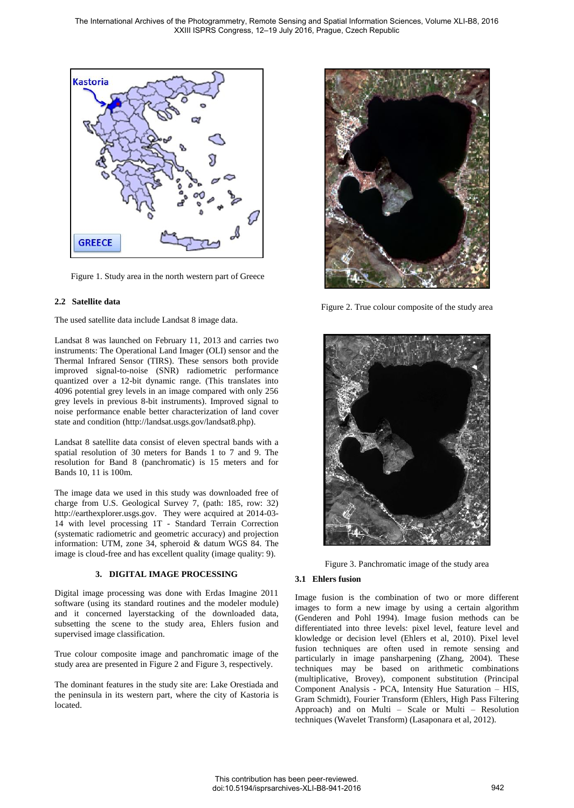

Figure 1. Study area in the north western part of Greece

## **2.2 Satellite data**

The used satellite data include Landsat 8 image data.

Landsat 8 was launched on February 11, 2013 and carries two instruments: The Operational Land Imager (OLI) sensor and the Thermal Infrared Sensor (TIRS). These sensors both provide improved signal-to-noise (SNR) radiometric performance quantized over a 12-bit dynamic range. (This translates into 4096 potential grey levels in an image compared with only 256 grey levels in previous 8-bit instruments). Improved signal to noise performance enable better characterization of land cover state and condition (http://landsat.usgs.gov/landsat8.php).

Landsat 8 satellite data consist of eleven spectral bands with a spatial resolution of 30 meters for Bands 1 to 7 and 9. The resolution for Band 8 (panchromatic) is 15 meters and for Bands 10, 11 is 100m.

The image data we used in this study was downloaded free of charge from U.S. Geological Survey 7, (path: 185, row: 32) http://earthexplorer.usgs.gov. They were acquired at 2014-03- 14 with level processing 1T - Standard Terrain Correction (systematic radiometric and geometric accuracy) and projection information: UTM, zone 34, spheroid & datum WGS 84. The image is cloud-free and has excellent quality (image quality: 9).

### **3. DIGITAL IMAGE PROCESSING**

Digital image processing was done with Erdas Imagine 2011 software (using its standard routines and the modeler module) and it concerned layerstacking of the downloaded data, subsetting the scene to the study area, Ehlers fusion and supervised image classification.

True colour composite image and panchromatic image of the study area are presented in Figure 2 and Figure 3, respectively.

The dominant features in the study site are: Lake Orestiada and the peninsula in its western part, where the city of Kastoria is located.



Figure 2. True colour composite of the study area



Figure 3. Panchromatic image of the study area

# **3.1 Ehlers fusion**

Image fusion is the combination of two or more different images to form a new image by using a certain algorithm (Genderen and Pohl 1994). Image fusion methods can be differentiated into three levels: pixel level, feature level and klowledge or decision level (Ehlers et al, 2010). Pixel level fusion techniques are often used in remote sensing and particularly in image pansharpening (Zhang, 2004). These techniques may be based on arithmetic combinations (multiplicative, Brovey), component substitution (Principal Component Analysis - PCA, Intensity Hue Saturation – HIS, Gram Schmidt), Fourier Transform (Ehlers, High Pass Filtering Approach) and on Multi – Scale or Multi – Resolution techniques (Wavelet Transform) (Lasaponara et al, 2012).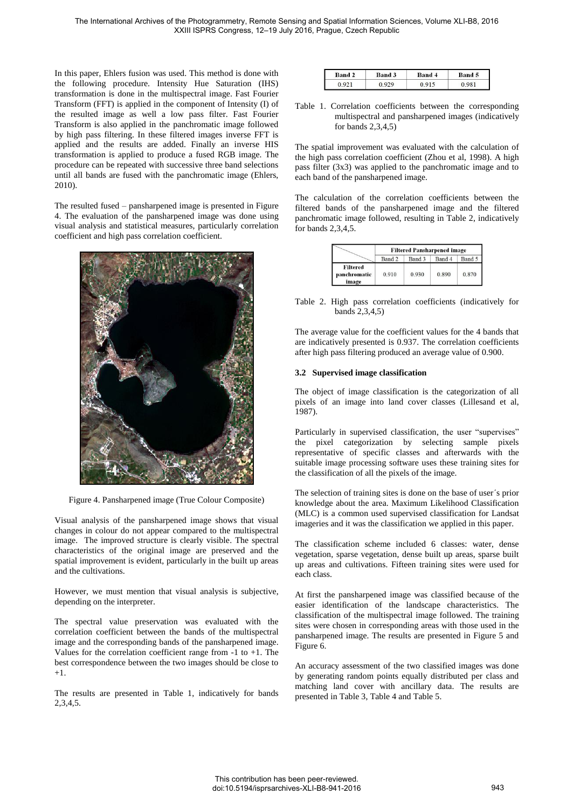In this paper, Ehlers fusion was used. This method is done with the following procedure. Intensity Hue Saturation (IHS) transformation is done in the multispectral image. Fast Fourier Transform (FFT) is applied in the component of Intensity (I) of the resulted image as well a low pass filter. Fast Fourier Transform is also applied in the panchromatic image followed by high pass filtering. In these filtered images inverse FFT is applied and the results are added. Finally an inverse HIS transformation is applied to produce a fused RGB image. The procedure can be repeated with successive three band selections until all bands are fused with the panchromatic image (Ehlers, 2010).

The resulted fused – pansharpened image is presented in Figure 4. The evaluation of the pansharpened image was done using visual analysis and statistical measures, particularly correlation coefficient and high pass correlation coefficient.



Figure 4. Pansharpened image (True Colour Composite)

Visual analysis of the pansharpened image shows that visual changes in colour do not appear compared to the multispectral image. The improved structure is clearly visible. The spectral characteristics of the original image are preserved and the spatial improvement is evident, particularly in the built up areas and the cultivations.

However, we must mention that visual analysis is subjective, depending on the interpreter.

The spectral value preservation was evaluated with the correlation coefficient between the bands of the multispectral image and the corresponding bands of the pansharpened image. Values for the correlation coefficient range from -1 to +1. The best correspondence between the two images should be close to +1.

The results are presented in Table 1, indicatively for bands 2,3,4,5.

| <b>Band 2</b> | Band 3 | Band 4 | <b>Band 5</b> |
|---------------|--------|--------|---------------|
|               |        |        |               |

Table 1. Correlation coefficients between the corresponding multispectral and pansharpened images (indicatively for bands 2,3,4,5)

The spatial improvement was evaluated with the calculation of the high pass correlation coefficient (Zhou et al, 1998). A high pass filter (3x3) was applied to the panchromatic image and to each band of the pansharpened image.

The calculation of the correlation coefficients between the filtered bands of the pansharpened image and the filtered panchromatic image followed, resulting in Table 2, indicatively for bands 2,3,4,5.

|                                          |        | <b>Filtered Pansharpened image</b> |        |        |
|------------------------------------------|--------|------------------------------------|--------|--------|
|                                          | Band 2 | Band <sub>3</sub>                  | Band 4 | Band 5 |
| <b>Filtered</b><br>panchromatic<br>image | 0.910  | 0.930                              | 0.890  | 0.870  |

Table 2. High pass correlation coefficients (indicatively for bands 2,3,4,5)

The average value for the coefficient values for the 4 bands that are indicatively presented is 0.937. The correlation coefficients after high pass filtering produced an average value of 0.900.

### **3.2 Supervised image classification**

The object of image classification is the categorization of all pixels of an image into land cover classes (Lillesand et al, 1987).

Particularly in supervised classification, the user "supervises" the pixel categorization by selecting sample pixels representative of specific classes and afterwards with the suitable image processing software uses these training sites for the classification of all the pixels of the image.

The selection of training sites is done on the base of user΄s prior knowledge about the area. Maximum Likelihood Classification (MLC) is a common used supervised classification for Landsat imageries and it was the classification we applied in this paper.

The classification scheme included 6 classes: water, dense vegetation, sparse vegetation, dense built up areas, sparse built up areas and cultivations. Fifteen training sites were used for each class.

At first the pansharpened image was classified because of the easier identification of the landscape characteristics. The classification of the multispectral image followed. The training sites were chosen in corresponding areas with those used in the pansharpened image. The results are presented in Figure 5 and Figure 6.

An accuracy assessment of the two classified images was done by generating random points equally distributed per class and matching land cover with ancillary data. The results are presented in Table 3, Table 4 and Table 5.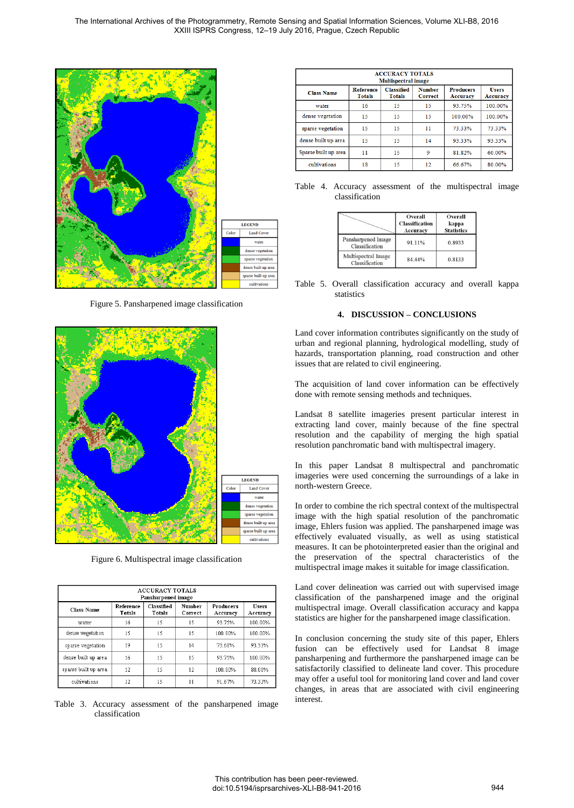

Figure 5. Pansharpened image classification



Figure 6. Multispectral image classification

| <b>ACCURACY TOTALS</b><br>Pansharpened image |                     |                      |                   |                              |                   |
|----------------------------------------------|---------------------|----------------------|-------------------|------------------------------|-------------------|
| <b>Class Name</b>                            | Reference<br>Totals | Classified<br>Totals | Number<br>Correct | <b>Producers</b><br>Accuracy | Users<br>Accuracy |
| water                                        | 16                  | 15                   | 15                | 93.75%                       | 100.00%           |
| dense vegetation                             | 15                  | 15                   | 15                | 100.00%                      | 100.00%           |
| sparse vegetation                            | 19                  | 15                   | 14                | 73.68%                       | 93.33%            |
| dense built up area                          | 16                  | 15                   | 15                | 93.75%                       | 100.00%           |
| sparse built up area                         | 12                  | 15                   | 12                | 100.00%                      | 80.00%            |
| cultivations                                 | 12                  | 15                   | 11                | 91.67%                       | 73.33%            |

Table 3. Accuracy assessment of the pansharpened image classification

| <b>ACCURACY TOTALS</b><br>Multispectral image |                                   |                                    |                                 |                                     |                                 |  |
|-----------------------------------------------|-----------------------------------|------------------------------------|---------------------------------|-------------------------------------|---------------------------------|--|
| <b>Class Name</b>                             | <b>Reference</b><br><b>Totals</b> | <b>Classified</b><br><b>Totals</b> | <b>Number</b><br><b>Correct</b> | <b>Producers</b><br><b>Accuracy</b> | <b>Users</b><br><b>Accuracy</b> |  |
| water                                         | 16                                | 15                                 | 15                              | 93 75%                              | 100.00%                         |  |
| dense vegetation                              | 15                                | 15                                 | 15                              | 100.00%                             | 100.00%                         |  |
| sparse vegetation                             | 15                                | 15                                 | 11                              | 73.33%                              | 73.33%                          |  |
| dense built up area                           | 15                                | 15                                 | 14                              | 93.33%                              | 93.33%                          |  |
| Sparse built up area                          | 11                                | 15                                 | 9                               | 81.82%                              | 60.00%                          |  |
| cultivations                                  | 18                                | 15                                 | 12.                             | 66.67%                              | 80.00%                          |  |

|  |                |  | Table 4. Accuracy assessment of the multispectral image |  |
|--|----------------|--|---------------------------------------------------------|--|
|  | classification |  |                                                         |  |

|                                       | Overall<br><b>Classification</b><br>Accuracy | Overall<br>kappa<br><b>Statistics</b> |  |
|---------------------------------------|----------------------------------------------|---------------------------------------|--|
| Pansharpened Image<br>Classification  | 91.11%                                       | 0.8933                                |  |
| Multispectral Image<br>Classification | 84.44%                                       | 0.8133                                |  |

Table 5. Overall classification accuracy and overall kappa statistics

### **4. DISCUSSION – CONCLUSIONS**

Land cover information contributes significantly on the study of urban and regional planning, hydrological modelling, study of hazards, transportation planning, road construction and other issues that are related to civil engineering.

The acquisition of land cover information can be effectively done with remote sensing methods and techniques.

Landsat 8 satellite imageries present particular interest in extracting land cover, mainly because of the fine spectral resolution and the capability of merging the high spatial resolution panchromatic band with multispectral imagery.

In this paper Landsat 8 multispectral and panchromatic imageries were used concerning the surroundings of a lake in north-western Greece.

In order to combine the rich spectral context of the multispectral image with the high spatial resolution of the panchromatic image, Ehlers fusion was applied. The pansharpened image was effectively evaluated visually, as well as using statistical measures. It can be photointerpreted easier than the original and the preservation of the spectral characteristics of the multispectral image makes it suitable for image classification.

Land cover delineation was carried out with supervised image classification of the pansharpened image and the original multispectral image. Overall classification accuracy and kappa statistics are higher for the pansharpened image classification.

In conclusion concerning the study site of this paper, Ehlers fusion can be effectively used for Landsat 8 image pansharpening and furthermore the pansharpened image can be satisfactorily classified to delineate land cover. This procedure may offer a useful tool for monitoring land cover and land cover changes, in areas that are associated with civil engineering interest.